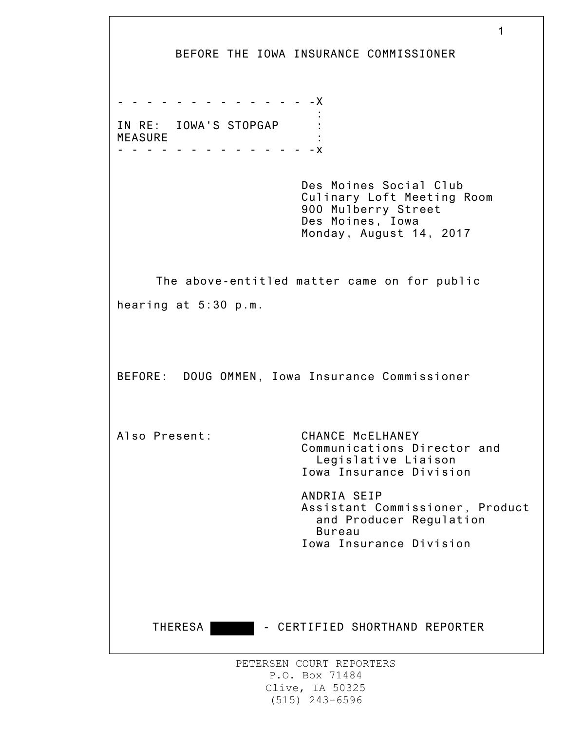|                                                               | 1<br>BEFORE THE IOWA INSURANCE COMMISSIONER                                                                                |
|---------------------------------------------------------------|----------------------------------------------------------------------------------------------------------------------------|
| - - - - - - - - - - - - X<br>IN RE: IOWA'S STOPGAP<br>MEASURE |                                                                                                                            |
|                                                               | Des Moines Social Club<br>Culinary Loft Meeting Room<br>900 Mulberry Street<br>Des Moines, Iowa<br>Monday, August 14, 2017 |
| hearing at 5:30 p.m.                                          | The above-entitled matter came on for public                                                                               |
| BEFORE: DOUG OMMEN, Iowa Insurance Commissioner               |                                                                                                                            |
| Also Present:                                                 | CHANCE McELHANEY<br>Communications Director and<br>Legislative Liaison<br>Iowa Insurance Division                          |
|                                                               | ANDRIA SEIP<br>Assistant Commissioner, Product<br>and Producer Regulation<br><b>Bureau</b><br>Iowa Insurance Division      |
| THERESA                                                       | - CERTIFIED SHORTHAND REPORTER                                                                                             |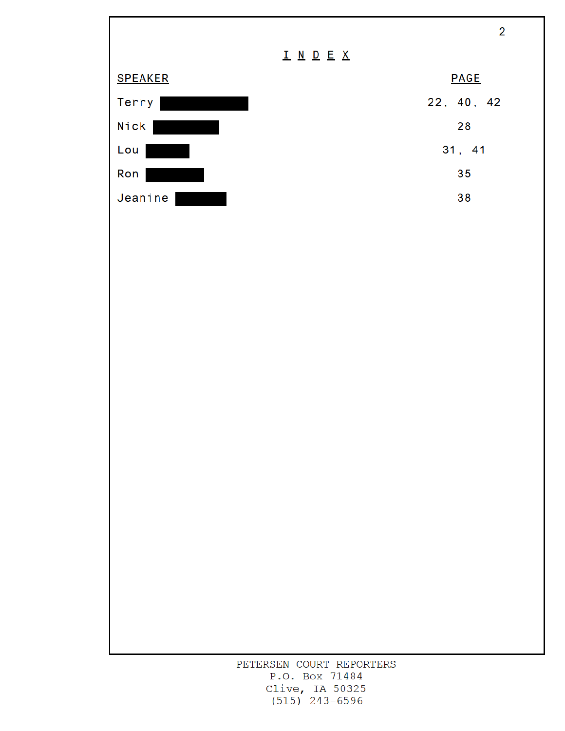

Clive, IA 50325  $(515)$  243-6596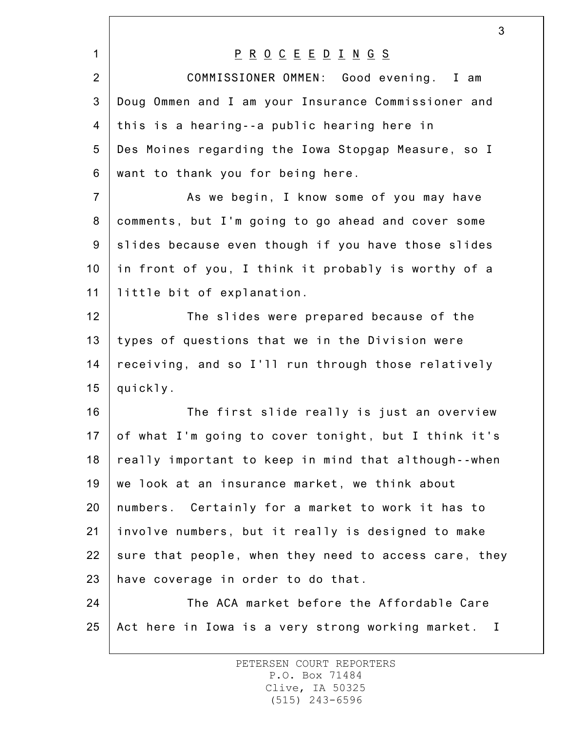|                 | 3                                                     |
|-----------------|-------------------------------------------------------|
| $\mathbf{1}$    | <u>P R O C E E D I N G S </u>                         |
| $\overline{2}$  | COMMISSIONER OMMEN: Good evening. I am                |
| 3               | Doug Ommen and I am your Insurance Commissioner and   |
| 4               | this is a hearing--a public hearing here in           |
| 5               | Des Moines regarding the Iowa Stopgap Measure, so I   |
| 6               | want to thank you for being here.                     |
| $\overline{7}$  | As we begin, I know some of you may have              |
| 8               | comments, but I'm going to go ahead and cover some    |
| 9               | slides because even though if you have those slides   |
| 10              | in front of you, I think it probably is worthy of a   |
| 11              | little bit of explanation.                            |
| 12              | The slides were prepared because of the               |
| 13              | types of questions that we in the Division were       |
| 14              | receiving, and so I'll run through those relatively   |
| 15              | quickly.                                              |
| 16              | The first slide really is just an overview            |
| 17 <sub>1</sub> | of what I'm going to cover tonight, but I think it's  |
| 18              | really important to keep in mind that although--when  |
| 19              | we look at an insurance market, we think about        |
| 20              | numbers. Certainly for a market to work it has to     |
| 21              | involve numbers, but it really is designed to make    |
| 22              | sure that people, when they need to access care, they |
| 23              | have coverage in order to do that.                    |
| 24              | The ACA market before the Affordable Care             |
| 25              | Act here in Iowa is a very strong working market. I   |
|                 |                                                       |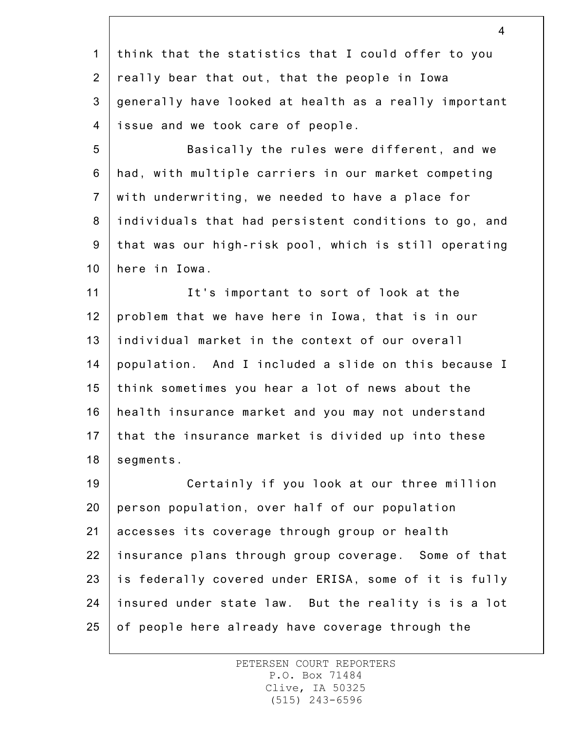1 2 3 4 think that the statistics that I could offer to you really bear that out, that the people in Iowa generally have looked at health as a really important issue and we took care of people.

5 6 7 8 9 10 Basically the rules were different, and we had, with multiple carriers in our market competing with underwriting, we needed to have a place for individuals that had persistent conditions to go, and that was our high-risk pool, which is still operating here in Iowa.

11 12 13 14 15 16 17 18 It's important to sort of look at the problem that we have here in Iowa, that is in our individual market in the context of our overall population. And I included a slide on this because I think sometimes you hear a lot of news about the health insurance market and you may not understand that the insurance market is divided up into these segments.

19 20 21 22 23 24 25 Certainly if you look at our three million person population, over half of our population accesses its coverage through group or health insurance plans through group coverage. Some of that is federally covered under ERISA, some of it is fully insured under state law. But the reality is is a lot of people here already have coverage through the

> PETERSEN COURT REPORTERS P.O. Box 71484 Clive, IA 50325 (515) 243-6596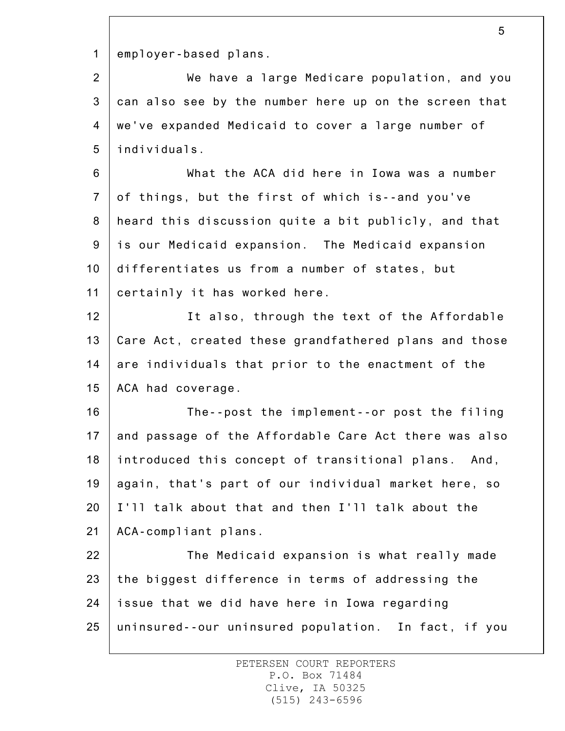1 employer-based plans.

2 3 4 5 We have a large Medicare population, and you can also see by the number here up on the screen that we've expanded Medicaid to cover a large number of individuals.

6 7 8 9 10 11 What the ACA did here in Iowa was a number of things, but the first of which is--and you've heard this discussion quite a bit publicly, and that is our Medicaid expansion. The Medicaid expansion differentiates us from a number of states, but certainly it has worked here.

12 13 14 15 It also, through the text of the Affordable Care Act, created these grandfathered plans and those are individuals that prior to the enactment of the ACA had coverage.

16 17 18 19 20 21 The--post the implement--or post the filing and passage of the Affordable Care Act there was also introduced this concept of transitional plans. And, again, that's part of our individual market here, so I'll talk about that and then I'll talk about the ACA-compliant plans.

22 23 24 25 The Medicaid expansion is what really made the biggest difference in terms of addressing the issue that we did have here in Iowa regarding uninsured--our uninsured population. In fact, if you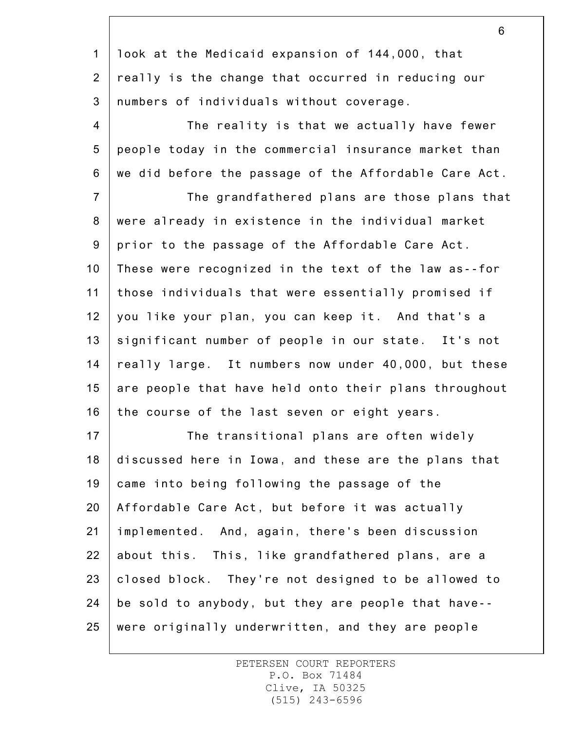1 2 3 look at the Medicaid expansion of 144,000, that really is the change that occurred in reducing our numbers of individuals without coverage.

4 5 6 The reality is that we actually have fewer people today in the commercial insurance market than we did before the passage of the Affordable Care Act.

7 8 9 10 11 12 13 14 15 16 The grandfathered plans are those plans that were already in existence in the individual market prior to the passage of the Affordable Care Act. These were recognized in the text of the law as--for those individuals that were essentially promised if you like your plan, you can keep it. And that's a significant number of people in our state. It's not really large. It numbers now under 40,000, but these are people that have held onto their plans throughout the course of the last seven or eight years.

17 18 19 20 21 22 23 24 25 The transitional plans are often widely discussed here in Iowa, and these are the plans that came into being following the passage of the Affordable Care Act, but before it was actually implemented. And, again, there's been discussion about this. This, like grandfathered plans, are a closed block. They're not designed to be allowed to be sold to anybody, but they are people that have- were originally underwritten, and they are people

> PETERSEN COURT REPORTERS P.O. Box 71484 Clive, IA 50325 (515) 243-6596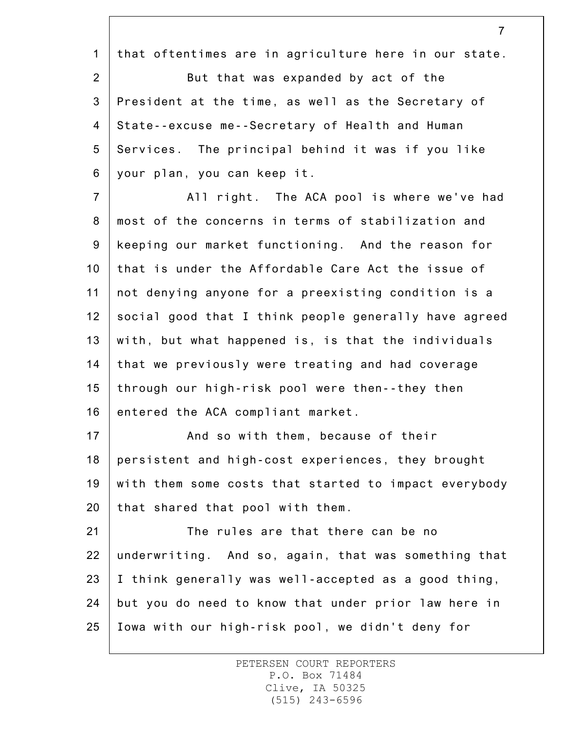1 2 3 4 5 6 7 8 that oftentimes are in agriculture here in our state. But that was expanded by act of the President at the time, as well as the Secretary of State--excuse me--Secretary of Health and Human Services. The principal behind it was if you like your plan, you can keep it. All right. The ACA pool is where we've had most of the concerns in terms of stabilization and

7

9 10 11 12 13 14 15 16 keeping our market functioning. And the reason for that is under the Affordable Care Act the issue of not denying anyone for a preexisting condition is a social good that I think people generally have agreed with, but what happened is, is that the individuals that we previously were treating and had coverage through our high-risk pool were then--they then entered the ACA compliant market.

17 18 19 20 And so with them, because of their persistent and high-cost experiences, they brought with them some costs that started to impact everybody that shared that pool with them.

21 22 23 24 25 The rules are that there can be no underwriting. And so, again, that was something that I think generally was well-accepted as a good thing, but you do need to know that under prior law here in Iowa with our high-risk pool, we didn't deny for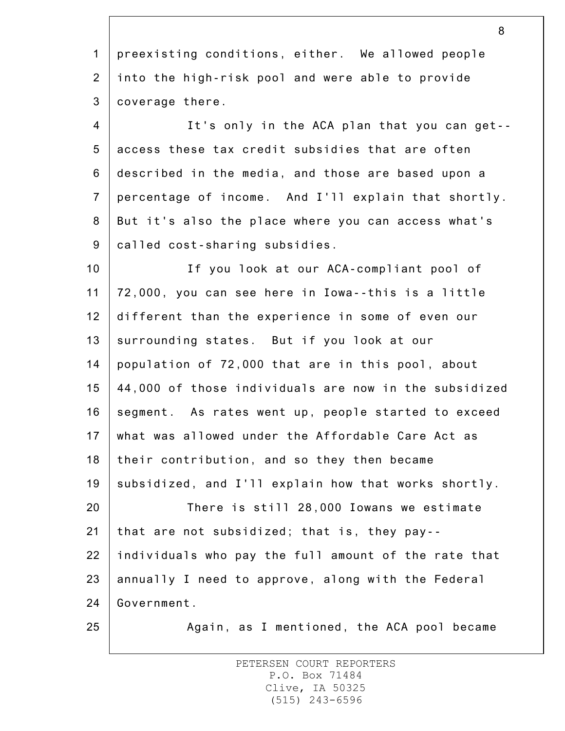1 2 3 4 5 6 7 8 9 10 11 12 13 14 15 16 17 18 19 20 21 22 23 24 25 preexisting conditions, either. We allowed people into the high-risk pool and were able to provide coverage there. It's only in the ACA plan that you can get- access these tax credit subsidies that are often described in the media, and those are based upon a percentage of income. And I'll explain that shortly. But it's also the place where you can access what's called cost-sharing subsidies. If you look at our ACA-compliant pool of 72,000, you can see here in Iowa--this is a little different than the experience in some of even our surrounding states. But if you look at our population of 72,000 that are in this pool, about 44,000 of those individuals are now in the subsidized segment. As rates went up, people started to exceed what was allowed under the Affordable Care Act as their contribution, and so they then became subsidized, and I'll explain how that works shortly. There is still 28,000 Iowans we estimate that are not subsidized; that is, they pay- individuals who pay the full amount of the rate that annually I need to approve, along with the Federal Government. Again, as I mentioned, the ACA pool became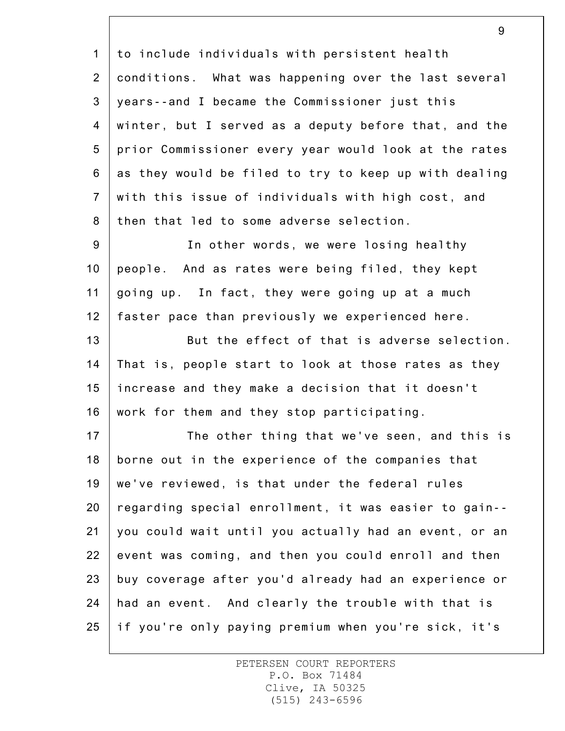1 2 3 4 5 6 7 8 9 10 11 12 13 14 15 16 17 18 19 20 21 22 23 24 25 to include individuals with persistent health conditions. What was happening over the last several years--and I became the Commissioner just this winter, but I served as a deputy before that, and the prior Commissioner every year would look at the rates as they would be filed to try to keep up with dealing with this issue of individuals with high cost, and then that led to some adverse selection. In other words, we were losing healthy people. And as rates were being filed, they kept going up. In fact, they were going up at a much faster pace than previously we experienced here. But the effect of that is adverse selection. That is, people start to look at those rates as they increase and they make a decision that it doesn't work for them and they stop participating. The other thing that we've seen, and this is borne out in the experience of the companies that we've reviewed, is that under the federal rules regarding special enrollment, it was easier to gain- you could wait until you actually had an event, or an event was coming, and then you could enroll and then buy coverage after you'd already had an experience or had an event. And clearly the trouble with that is if you're only paying premium when you're sick, it's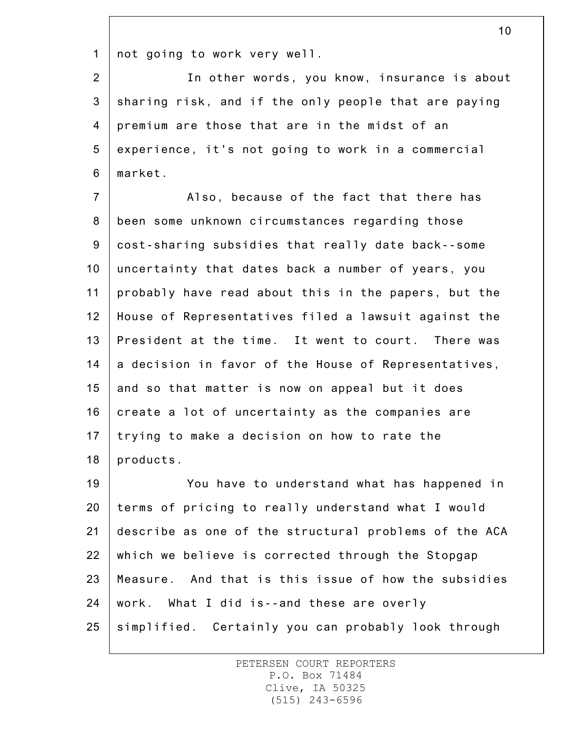1 not going to work very well.

2 3 4 5 6 In other words, you know, insurance is about sharing risk, and if the only people that are paying premium are those that are in the midst of an experience, it's not going to work in a commercial market.

7 8 9 10 11 12 13 14 15 16 17 18 Also, because of the fact that there has been some unknown circumstances regarding those cost-sharing subsidies that really date back--some uncertainty that dates back a number of years, you probably have read about this in the papers, but the House of Representatives filed a lawsuit against the President at the time. It went to court. There was a decision in favor of the House of Representatives, and so that matter is now on appeal but it does create a lot of uncertainty as the companies are trying to make a decision on how to rate the products.

19 20 21 22 23 24 25 You have to understand what has happened in terms of pricing to really understand what I would describe as one of the structural problems of the ACA which we believe is corrected through the Stopgap Measure. And that is this issue of how the subsidies work. What I did is--and these are overly simplified. Certainly you can probably look through

> PETERSEN COURT REPORTERS P.O. Box 71484 Clive, IA 50325 (515) 243-6596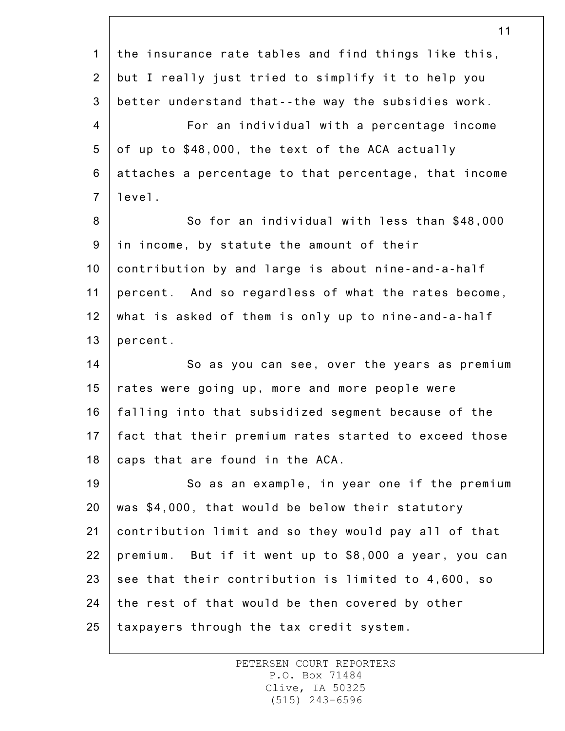|                | 11                                                    |
|----------------|-------------------------------------------------------|
| $\mathbf 1$    | the insurance rate tables and find things like this,  |
| $\overline{2}$ | but I really just tried to simplify it to help you    |
| 3              | better understand that--the way the subsidies work.   |
| $\overline{4}$ | For an individual with a percentage income            |
| 5              | of up to \$48,000, the text of the ACA actually       |
| 6              | attaches a percentage to that percentage, that income |
| $\overline{7}$ | level.                                                |
| 8              | So for an individual with less than \$48,000          |
| 9              | in income, by statute the amount of their             |
| 10             | contribution by and large is about nine-and-a-half    |
| 11             | percent. And so regardless of what the rates become,  |
| 12             | what is asked of them is only up to nine-and-a-half   |
| 13             | percent.                                              |
| 14             | So as you can see, over the years as premium          |
| 15             | rates were going up, more and more people were        |
| 16             | falling into that subsidized segment because of the   |
| 17             | fact that their premium rates started to exceed those |
| 18             | caps that are found in the ACA.                       |
| 19             | So as an example, in year one if the premium          |
| 20             | was \$4,000, that would be below their statutory      |
| 21             | contribution limit and so they would pay all of that  |
| 22             | premium. But if it went up to \$8,000 a year, you can |
| 23             | see that their contribution is limited to 4,600, so   |
| 24             | the rest of that would be then covered by other       |
| 25             | taxpayers through the tax credit system.              |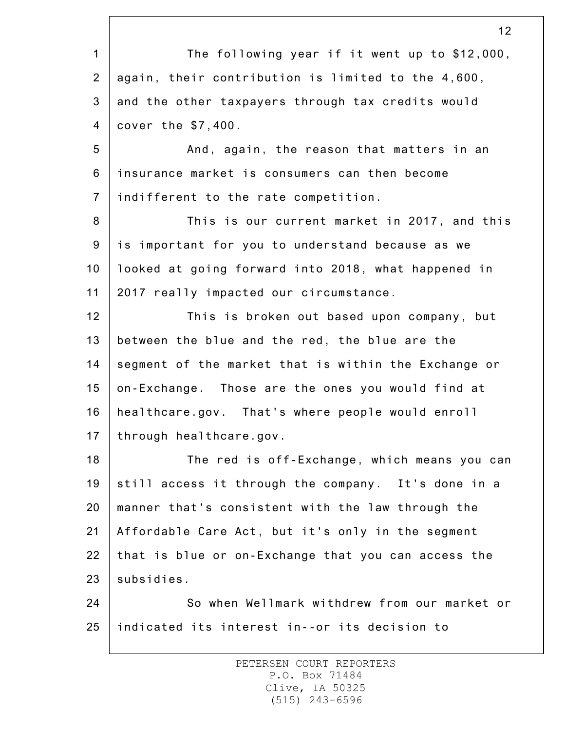1 2 3 4 5 6 7 8 9 10 11 12 13 14 15 16 17 18 19 20 21 22 23 24 25 12 The following year if it went up to \$12,000, again, their contribution is limited to the 4,600, and the other taxpayers through tax credits would cover the \$7,400. And, again, the reason that matters in an insurance market is consumers can then become indifferent to the rate competition. This is our current market in 2017, and this is important for you to understand because as we looked at going forward into 2018, what happened in 2017 really impacted our circumstance. This is broken out based upon company, but between the blue and the red, the blue are the segment of the market that is within the Exchange or on-Exchange. Those are the ones you would find at healthcare.gov. That's where people would enroll through healthcare.gov. The red is off-Exchange, which means you can still access it through the company. It's done in a manner that's consistent with the law through the Affordable Care Act, but it's only in the segment that is blue or on-Exchange that you can access the subsidies. So when Wellmark withdrew from our market or indicated its interest in--or its decision to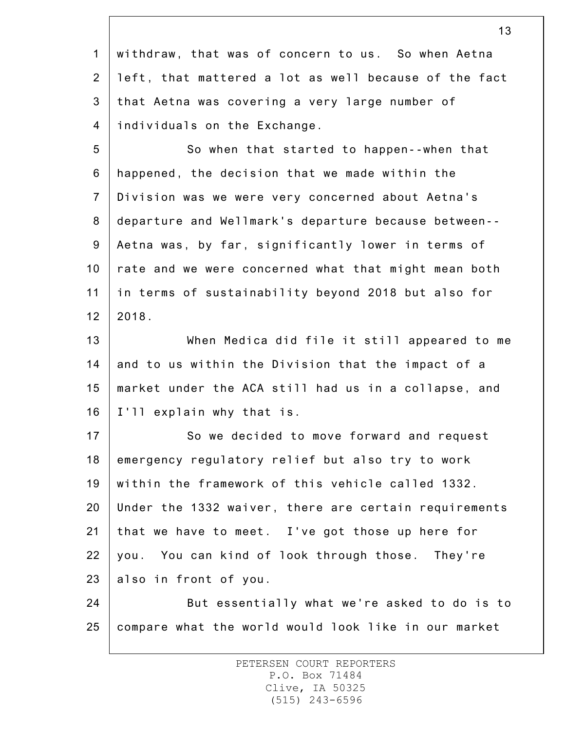1 2 3 4 withdraw, that was of concern to us. So when Aetna left, that mattered a lot as well because of the fact that Aetna was covering a very large number of individuals on the Exchange.

5 6 7 8 9 10 11 12 So when that started to happen--when that happened, the decision that we made within the Division was we were very concerned about Aetna's departure and Wellmark's departure because between-- Aetna was, by far, significantly lower in terms of rate and we were concerned what that might mean both in terms of sustainability beyond 2018 but also for 2018.

13 14 15 16 When Medica did file it still appeared to me and to us within the Division that the impact of a market under the ACA still had us in a collapse, and I'll explain why that is.

17 18 19 20 21 22 23 So we decided to move forward and request emergency regulatory relief but also try to work within the framework of this vehicle called 1332. Under the 1332 waiver, there are certain requirements that we have to meet. I've got those up here for you. You can kind of look through those. They're also in front of you.

24 25 But essentially what we're asked to do is to compare what the world would look like in our market

> PETERSEN COURT REPORTERS P.O. Box 71484 Clive, IA 50325 (515) 243-6596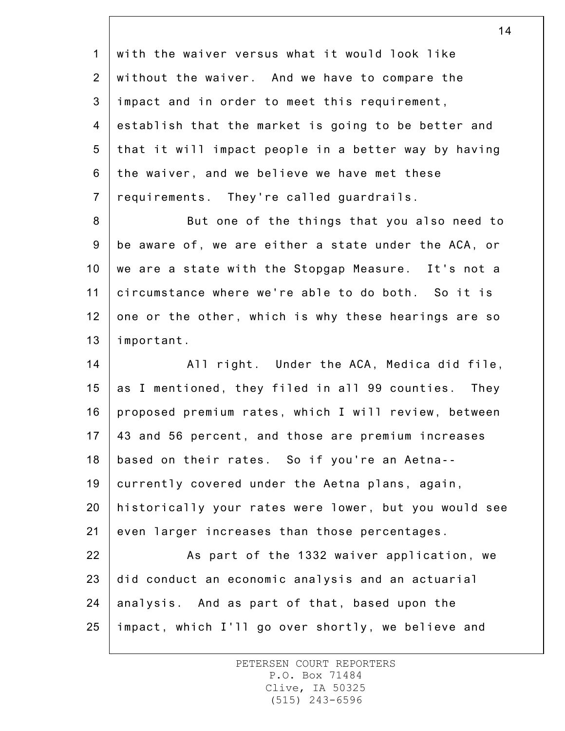1 2 3 4 5 6 7 8 9 10 11 12 13 14 15 16 17 18 19 20 21 22 23 24 25 with the waiver versus what it would look like without the waiver. And we have to compare the impact and in order to meet this requirement, establish that the market is going to be better and that it will impact people in a better way by having the waiver, and we believe we have met these requirements. They're called guardrails. But one of the things that you also need to be aware of, we are either a state under the ACA, or we are a state with the Stopgap Measure. It's not a circumstance where we're able to do both. So it is one or the other, which is why these hearings are so important. All right. Under the ACA, Medica did file, as I mentioned, they filed in all 99 counties. They proposed premium rates, which I will review, between 43 and 56 percent, and those are premium increases based on their rates. So if you're an Aetna- currently covered under the Aetna plans, again, historically your rates were lower, but you would see even larger increases than those percentages. As part of the 1332 waiver application, we did conduct an economic analysis and an actuarial analysis. And as part of that, based upon the impact, which I'll go over shortly, we believe and

> PETERSEN COURT REPORTERS P.O. Box 71484 Clive, IA 50325 (515) 243-6596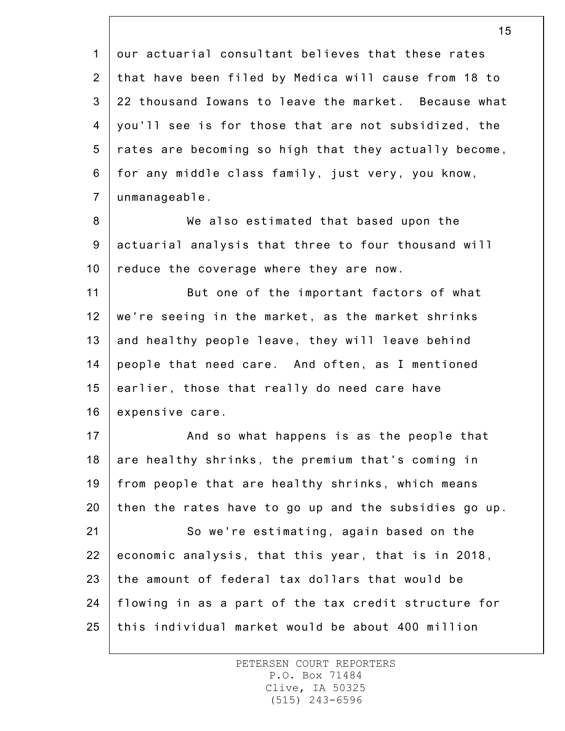1 2 3 4 5 6 7 our actuarial consultant believes that these rates that have been filed by Medica will cause from 18 to 22 thousand Iowans to leave the market. Because what you'll see is for those that are not subsidized, the rates are becoming so high that they actually become, for any middle class family, just very, you know, unmanageable.

8 9 10 We also estimated that based upon the actuarial analysis that three to four thousand will reduce the coverage where they are now.

11 12 13 14 15 16 But one of the important factors of what we're seeing in the market, as the market shrinks and healthy people leave, they will leave behind people that need care. And often, as I mentioned earlier, those that really do need care have expensive care.

17 18 19 20 21 22 23 24 And so what happens is as the people that are healthy shrinks, the premium that's coming in from people that are healthy shrinks, which means then the rates have to go up and the subsidies go up. So we're estimating, again based on the economic analysis, that this year, that is in 2018, the amount of federal tax dollars that would be flowing in as a part of the tax credit structure for

25 this individual market would be about 400 million

> PETERSEN COURT REPORTERS P.O. Box 71484 Clive, IA 50325 (515) 243-6596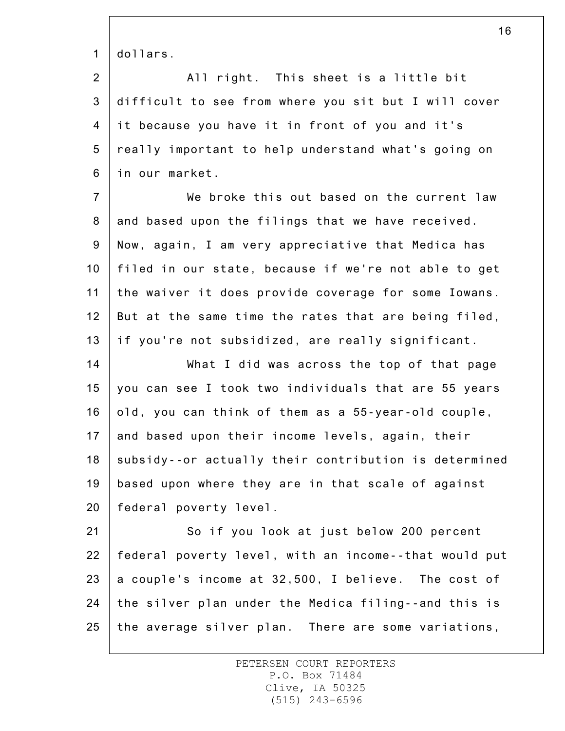1 dollars.

2 3 4 5 6 All right. This sheet is a little bit difficult to see from where you sit but I will cover it because you have it in front of you and it's really important to help understand what's going on in our market.

7 8 9 10 11 12 13 We broke this out based on the current law and based upon the filings that we have received. Now, again, I am very appreciative that Medica has filed in our state, because if we're not able to get the waiver it does provide coverage for some Iowans. But at the same time the rates that are being filed, if you're not subsidized, are really significant.

14 15 16 17 18 19 20 What I did was across the top of that page you can see I took two individuals that are 55 years old, you can think of them as a 55-year-old couple, and based upon their income levels, again, their subsidy--or actually their contribution is determined based upon where they are in that scale of against federal poverty level.

21 22 23 24 25 So if you look at just below 200 percent federal poverty level, with an income--that would put a couple's income at 32,500, I believe. The cost of the silver plan under the Medica filing--and this is the average silver plan. There are some variations,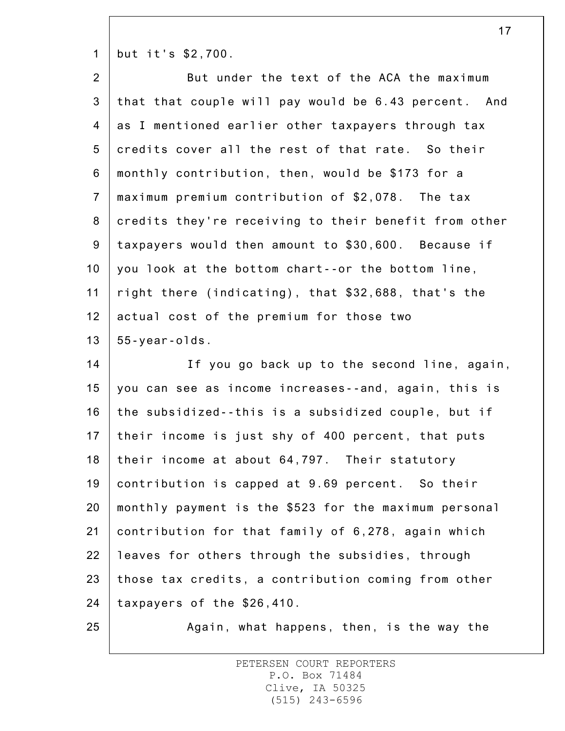1 but it's \$2,700.

| $\overline{2}$   | But under the text of the ACA the maximum             |
|------------------|-------------------------------------------------------|
| $\mathbf{3}$     | that that couple will pay would be 6.43 percent. And  |
| $\overline{4}$   | as I mentioned earlier other taxpayers through tax    |
| 5                | credits cover all the rest of that rate. So their     |
| $\,6$            | monthly contribution, then, would be \$173 for a      |
| $\overline{7}$   | maximum premium contribution of \$2,078. The tax      |
| $\bf 8$          | credits they're receiving to their benefit from other |
| $\boldsymbol{9}$ | taxpayers would then amount to \$30,600. Because if   |
| 10               | you look at the bottom chart--or the bottom line,     |
| 11               | right there (indicating), that \$32,688, that's the   |
| 12               | actual cost of the premium for those two              |
| 13               | $55 - year - o$ ds.                                   |
|                  |                                                       |
| 14               | If you go back up to the second line, again,          |
| 15               | you can see as income increases--and, again, this is  |
| 16               | the subsidized--this is a subsidized couple, but if   |
| 17               | their income is just shy of 400 percent, that puts    |
| 18               | their income at about 64,797. Their statutory         |
| 19               | contribution is capped at 9.69 percent. So their      |
| 20               | monthly payment is the \$523 for the maximum personal |
| 21               | contribution for that family of 6,278, again which    |
| 22               | leaves for others through the subsidies, through      |
| 23               | those tax credits, a contribution coming from other   |
| 24               | taxpayers of the \$26,410.                            |

Again, what happens, then, is the way the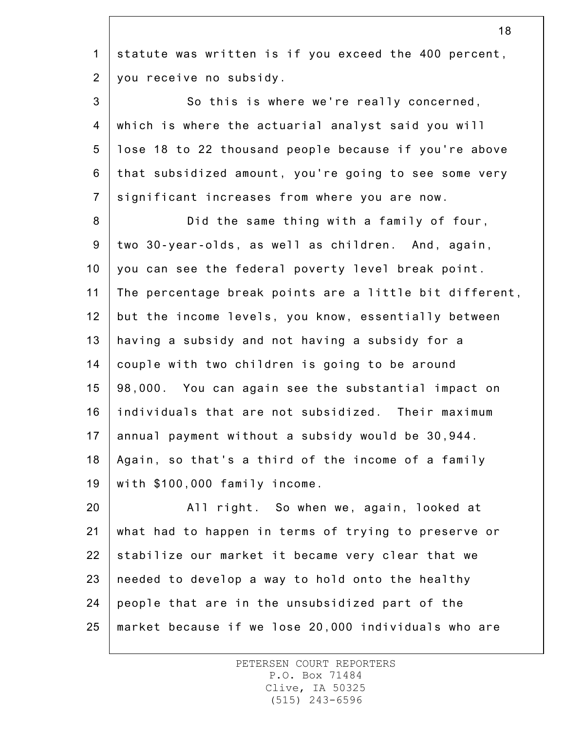1 2 statute was written is if you exceed the 400 percent, you receive no subsidy.

3 4 5 6 7 So this is where we're really concerned, which is where the actuarial analyst said you will lose 18 to 22 thousand people because if you're above that subsidized amount, you're going to see some very significant increases from where you are now.

8 9 10 11 12 13 14 15 16 17 18 19 Did the same thing with a family of four, two 30-year-olds, as well as children. And, again, you can see the federal poverty level break point. The percentage break points are a little bit different, but the income levels, you know, essentially between having a subsidy and not having a subsidy for a couple with two children is going to be around 98,000. You can again see the substantial impact on individuals that are not subsidized. Their maximum annual payment without a subsidy would be 30,944. Again, so that's a third of the income of a family with \$100,000 family income.

20 21 22 23 24 25 All right. So when we, again, looked at what had to happen in terms of trying to preserve or stabilize our market it became very clear that we needed to develop a way to hold onto the healthy people that are in the unsubsidized part of the market because if we lose 20,000 individuals who are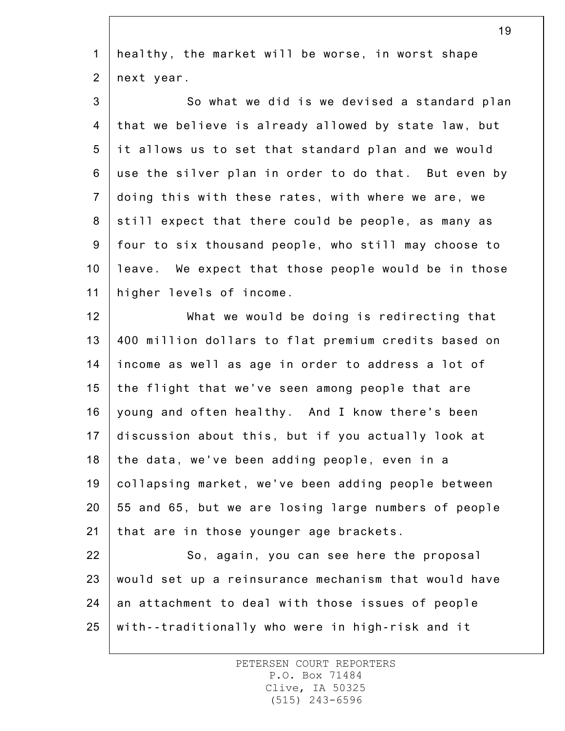1 2 healthy, the market will be worse, in worst shape next year.

3 4 5 6 7 8 9 10 11 So what we did is we devised a standard plan that we believe is already allowed by state law, but it allows us to set that standard plan and we would use the silver plan in order to do that. But even by doing this with these rates, with where we are, we still expect that there could be people, as many as four to six thousand people, who still may choose to leave. We expect that those people would be in those higher levels of income.

12 13 14 15 16 17 18 19 20 21 What we would be doing is redirecting that 400 million dollars to flat premium credits based on income as well as age in order to address a lot of the flight that we've seen among people that are young and often healthy. And I know there's been discussion about this, but if you actually look at the data, we've been adding people, even in a collapsing market, we've been adding people between 55 and 65, but we are losing large numbers of people that are in those younger age brackets.

22 23 24 25 So, again, you can see here the proposal would set up a reinsurance mechanism that would have an attachment to deal with those issues of people with--traditionally who were in high-risk and it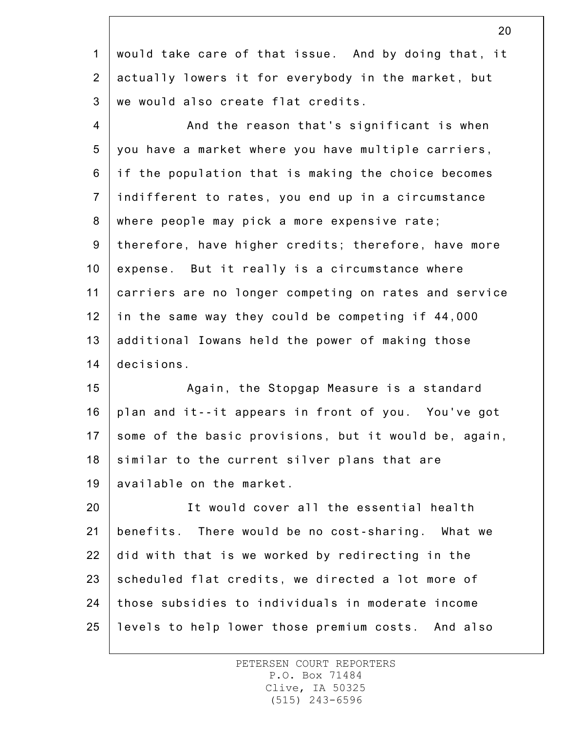1 2 3 would take care of that issue. And by doing that, it actually lowers it for everybody in the market, but we would also create flat credits.

4 5 6 7 8 9 10 11 12 13 14 And the reason that's significant is when you have a market where you have multiple carriers, if the population that is making the choice becomes indifferent to rates, you end up in a circumstance where people may pick a more expensive rate; therefore, have higher credits; therefore, have more expense. But it really is a circumstance where carriers are no longer competing on rates and service in the same way they could be competing if 44,000 additional Iowans held the power of making those decisions.

15 16 17 18 19 Again, the Stopgap Measure is a standard plan and it--it appears in front of you. You've got some of the basic provisions, but it would be, again, similar to the current silver plans that are available on the market.

20 21 22 23 24 25 It would cover all the essential health benefits. There would be no cost-sharing. What we did with that is we worked by redirecting in the scheduled flat credits, we directed a lot more of those subsidies to individuals in moderate income levels to help lower those premium costs. And also

> PETERSEN COURT REPORTERS P.O. Box 71484 Clive, IA 50325 (515) 243-6596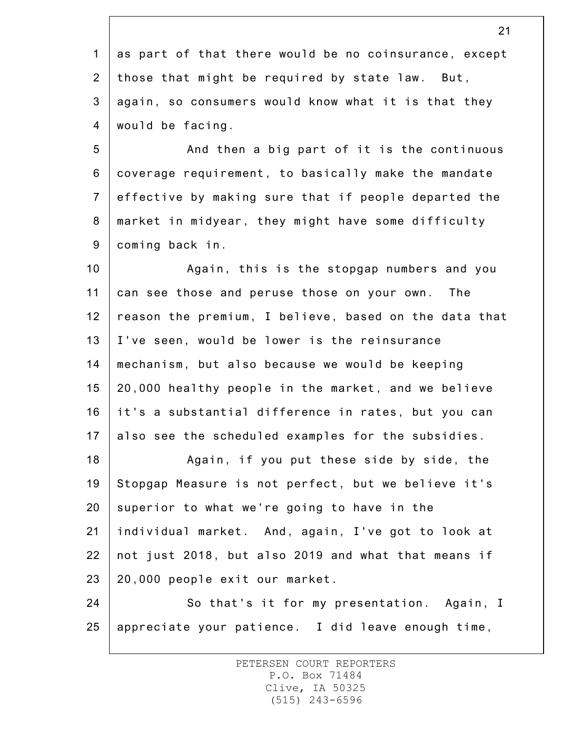1 2 3 4 as part of that there would be no coinsurance, except those that might be required by state law. But, again, so consumers would know what it is that they would be facing.

5 6 7 8 9 And then a big part of it is the continuous coverage requirement, to basically make the mandate effective by making sure that if people departed the market in midyear, they might have some difficulty coming back in.

10 11 12 13 14 15 16 17 Again, this is the stopgap numbers and you can see those and peruse those on your own. The reason the premium, I believe, based on the data that I've seen, would be lower is the reinsurance mechanism, but also because we would be keeping 20,000 healthy people in the market, and we believe it's a substantial difference in rates, but you can also see the scheduled examples for the subsidies.

18 19 20 21 22 23 Again, if you put these side by side, the Stopgap Measure is not perfect, but we believe it's superior to what we're going to have in the individual market. And, again, I've got to look at not just 2018, but also 2019 and what that means if 20,000 people exit our market.

24 25 So that's it for my presentation. Again, I appreciate your patience. I did leave enough time,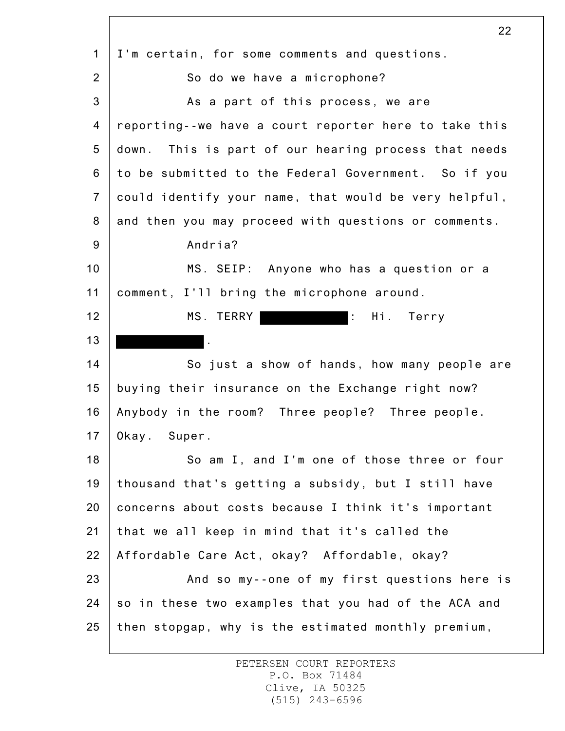1 2 3 4 5 6 7 8 9 10 11 12 13 14 15 16 17 18 19 20 21 22 23 24 25 22 I'm certain, for some comments and questions. So do we have a microphone? As a part of this process, we are reporting--we have a court reporter here to take this down. This is part of our hearing process that needs to be submitted to the Federal Government. So if you could identify your name, that would be very helpful, and then you may proceed with questions or comments. Andria? MS. SEIP: Anyone who has a question or a comment, I'll bring the microphone around. MS. TERRY : Hi. Terry . So just a show of hands, how many people are buying their insurance on the Exchange right now? Anybody in the room? Three people? Three people. Okay. Super. So am I, and I'm one of those three or four thousand that's getting a subsidy, but I still have concerns about costs because I think it's important that we all keep in mind that it's called the Affordable Care Act, okay? Affordable, okay? And so my--one of my first questions here is so in these two examples that you had of the ACA and then stopgap, why is the estimated monthly premium,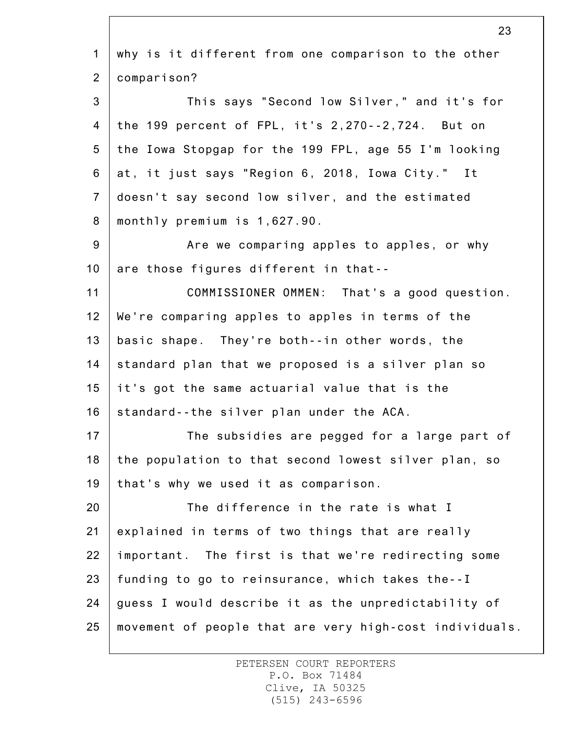1 2 3 4 5 6 7 8 9 10 11 12 13 14 15 16 17 18 19 20 21 22 23 24 25 why is it different from one comparison to the other comparison? This says "Second low Silver," and it's for the 199 percent of FPL, it's 2,270--2,724. But on the Iowa Stopgap for the 199 FPL, age 55 I'm looking at, it just says "Region 6, 2018, Iowa City." It doesn't say second low silver, and the estimated monthly premium is 1,627.90. Are we comparing apples to apples, or why are those figures different in that-- COMMISSIONER OMMEN: That's a good question. We're comparing apples to apples in terms of the basic shape. They're both--in other words, the standard plan that we proposed is a silver plan so it's got the same actuarial value that is the standard--the silver plan under the ACA. The subsidies are pegged for a large part of the population to that second lowest silver plan, so that's why we used it as comparison. The difference in the rate is what I explained in terms of two things that are really important. The first is that we're redirecting some funding to go to reinsurance, which takes the--I guess I would describe it as the unpredictability of movement of people that are very high-cost individuals.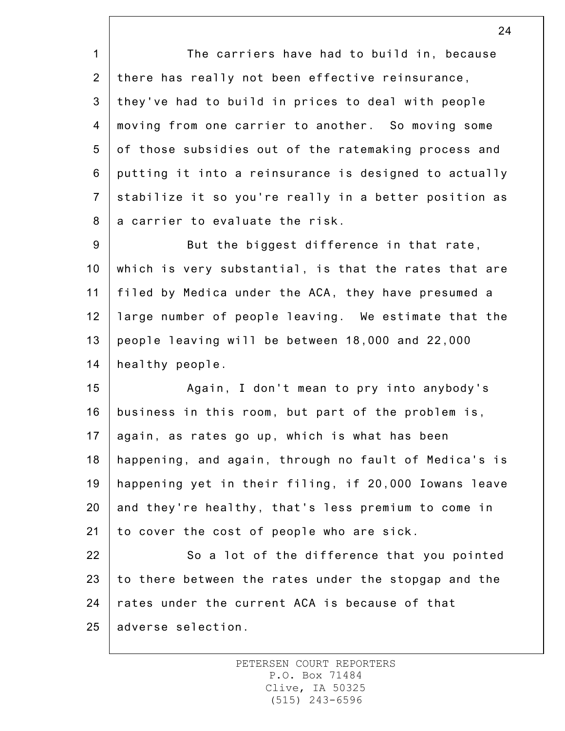1 2 3 4 5 6 7 8 The carriers have had to build in, because there has really not been effective reinsurance, they've had to build in prices to deal with people moving from one carrier to another. So moving some of those subsidies out of the ratemaking process and putting it into a reinsurance is designed to actually stabilize it so you're really in a better position as a carrier to evaluate the risk.

9 10 11 12 13 14 But the biggest difference in that rate, which is very substantial, is that the rates that are filed by Medica under the ACA, they have presumed a large number of people leaving. We estimate that the people leaving will be between 18,000 and 22,000 healthy people.

15 16 17 18 19 20 21 Again, I don't mean to pry into anybody's business in this room, but part of the problem is, again, as rates go up, which is what has been happening, and again, through no fault of Medica's is happening yet in their filing, if 20,000 Iowans leave and they're healthy, that's less premium to come in to cover the cost of people who are sick.

22 23 24 25 So a lot of the difference that you pointed to there between the rates under the stopgap and the rates under the current ACA is because of that adverse selection.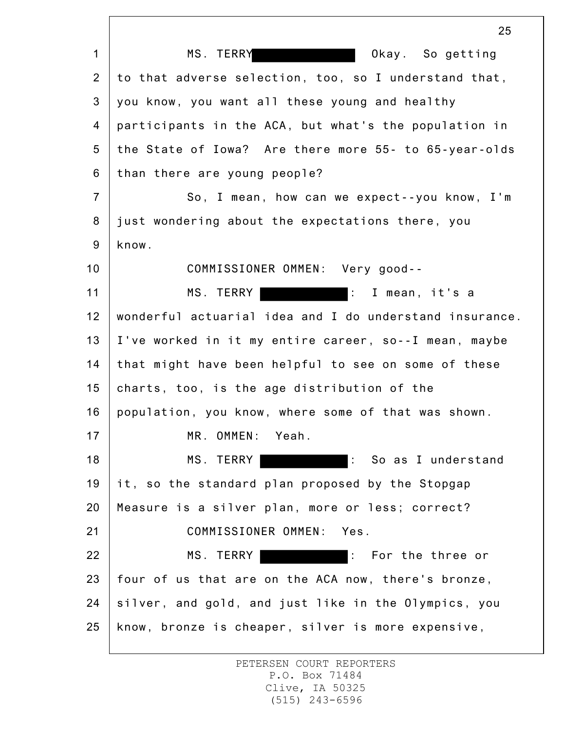1 2 3 4 5 6 7 8 9 10 11 12 13 14 15 16 17 18 19 20 21 22 23 24 25 25 MS. TERRY **CONSERVING CONTROL** Okay. So getting to that adverse selection, too, so I understand that, you know, you want all these young and healthy participants in the ACA, but what's the population in the State of Iowa? Are there more 55- to 65-year-olds than there are young people? So, I mean, how can we expect--you know, I'm just wondering about the expectations there, you know. COMMISSIONER OMMEN: Very good-- MS. TERRY **:** I mean, it's a wonderful actuarial idea and I do understand insurance. I've worked in it my entire career, so--I mean, maybe that might have been helpful to see on some of these charts, too, is the age distribution of the population, you know, where some of that was shown. MR. OMMEN: Yeah. MS. TERRY **:** So as I understand it, so the standard plan proposed by the Stopgap Measure is a silver plan, more or less; correct? COMMISSIONER OMMEN: Yes. MS. TERRY **Internal Containst Terms**: For the three or four of us that are on the ACA now, there's bronze, silver, and gold, and just like in the Olympics, you know, bronze is cheaper, silver is more expensive,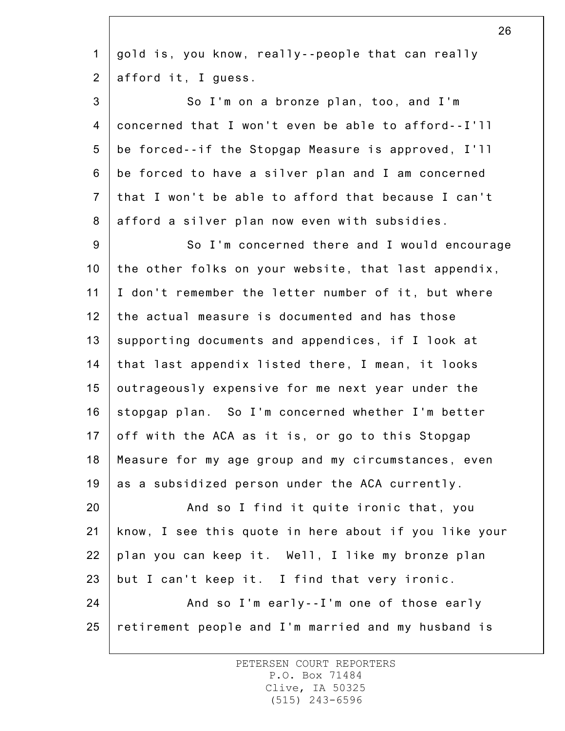| $\mathbf 1$    | gold is, you know, really--people that can really     |
|----------------|-------------------------------------------------------|
| $\overline{2}$ | afford it, I guess.                                   |
| 3              | So I'm on a bronze plan, too, and I'm                 |
| 4              | concerned that I won't even be able to afford--I'll   |
| 5              | be forced--if the Stopgap Measure is approved, I'll   |
| 6              | be forced to have a silver plan and I am concerned    |
| $\overline{7}$ | that I won't be able to afford that because I can't   |
| 8              | afford a silver plan now even with subsidies.         |
| $9\,$          | So I'm concerned there and I would encourage          |
| 10             | the other folks on your website, that last appendix,  |
| 11             | I don't remember the letter number of it, but where   |
| 12             | the actual measure is documented and has those        |
| 13             | supporting documents and appendices, if I look at     |
| 14             | that last appendix listed there, I mean, it looks     |
| 15             | outrageously expensive for me next year under the     |
| 16             | stopgap plan. So I'm concerned whether I'm better     |
| 17             | off with the ACA as it is, or go to this Stopgap      |
| 18             | Measure for my age group and my circumstances, even   |
| 19             | as a subsidized person under the ACA currently.       |
| 20             | And so I find it quite ironic that, you               |
| 21             | know, I see this quote in here about if you like your |
| 22             | plan you can keep it. Well, I like my bronze plan     |
| 23             | but I can't keep it. I find that very ironic.         |
| 24             | And so I'm early--I'm one of those early              |
| 25             | retirement people and I'm married and my husband is   |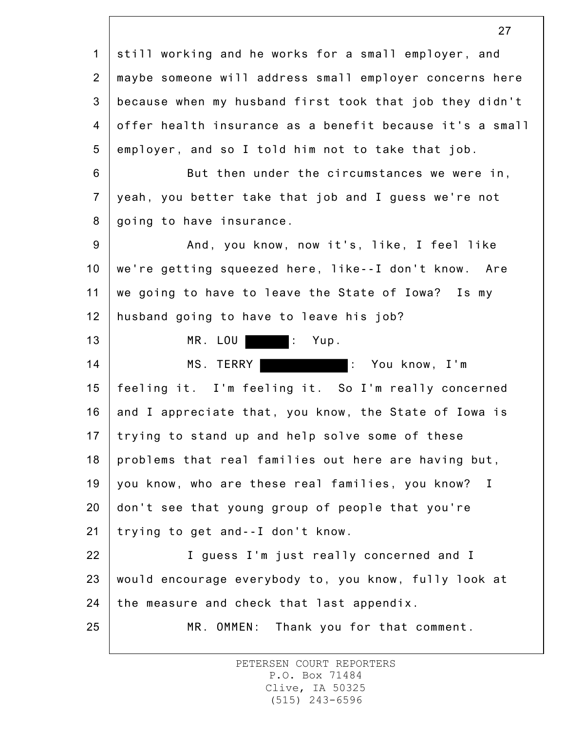1 2 3 4 5 6 7 8 9 10 11 12 13 14 15 16 17 18 19 20 21 22 23 24 25 27 still working and he works for a small employer, and maybe someone will address small employer concerns here because when my husband first took that job they didn't offer health insurance as a benefit because it's a small employer, and so I told him not to take that job. But then under the circumstances we were in, yeah, you better take that job and I guess we're not going to have insurance. And, you know, now it's, like, I feel like we're getting squeezed here, like--I don't know. Are we going to have to leave the State of Iowa? Is my husband going to have to leave his job? MR. LOU : Yup. MS. TERRY : You know, I'm feeling it. I'm feeling it. So I'm really concerned and I appreciate that, you know, the State of Iowa is trying to stand up and help solve some of these problems that real families out here are having but, you know, who are these real families, you know? I don't see that young group of people that you're trying to get and--I don't know. I guess I'm just really concerned and I would encourage everybody to, you know, fully look at the measure and check that last appendix. MR. OMMEN: Thank you for that comment.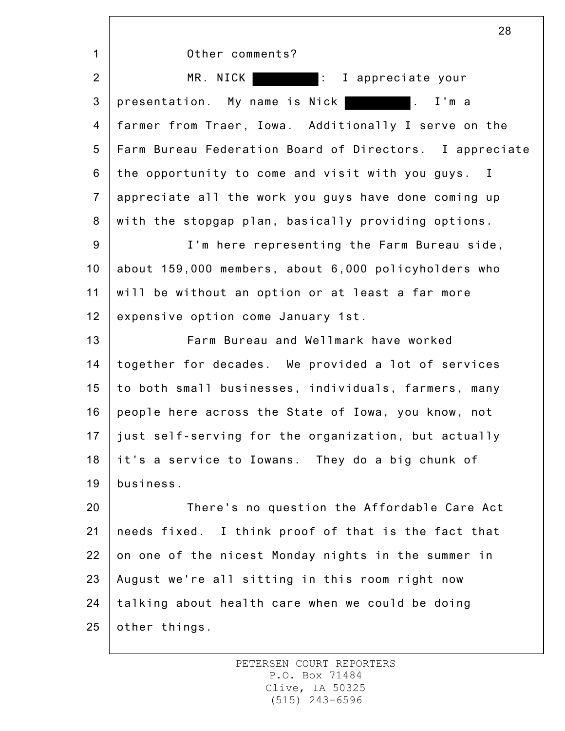|                 | 28                                                                   |
|-----------------|----------------------------------------------------------------------|
| $\mathbf{1}$    | Other comments?                                                      |
| $\overline{2}$  | MR. NICK<br>I appreciate your                                        |
| 3               | presentation. My name is Nick<br>$\mathcal{L}^{\text{max}}$<br>I'm a |
| $\overline{4}$  | farmer from Traer, Iowa. Additionally I serve on the                 |
| 5               | Farm Bureau Federation Board of Directors. I appreciate              |
| 6               | the opportunity to come and visit with you guys. I                   |
| $\overline{7}$  | appreciate all the work you guys have done coming up                 |
| 8               | with the stopgap plan, basically providing options.                  |
| $9\,$           | I'm here representing the Farm Bureau side,                          |
| 10 <sub>1</sub> | about 159,000 members, about 6,000 policyholders who                 |
| 11              | will be without an option or at least a far more                     |
| 12              | expensive option come January 1st.                                   |
| 13              | Farm Bureau and Wellmark have worked                                 |
| 14              | together for decades. We provided a lot of services                  |
| 15              | to both small businesses, individuals, farmers, many                 |
| 16              | people here across the State of Iowa, you know, not                  |
| 17              | just self-serving for the organization, but actually                 |
| 18              | it's a service to Iowans. They do a big chunk of                     |
| 19              | business.                                                            |
| 20              | There's no question the Affordable Care Act                          |
| 21              | needs fixed. I think proof of that is the fact that                  |
| 22              | on one of the nicest Monday nights in the summer in                  |
| 23              | August we're all sitting in this room right now                      |
| 24              | talking about health care when we could be doing                     |
| 25              | other things.                                                        |
|                 |                                                                      |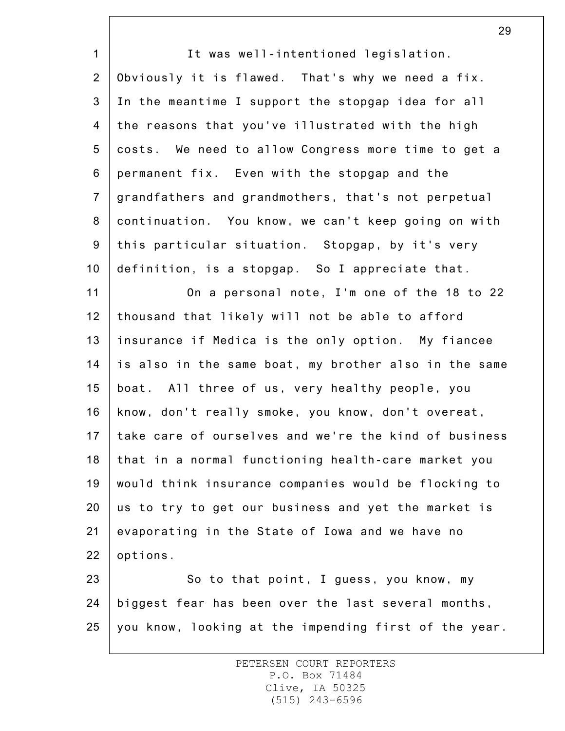1 2 3 4 5 6 7 8 9 10 11 12 13 14 15 16 17 18 19 20 21 22 23 24 25 It was well-intentioned legislation. Obviously it is flawed. That's why we need a fix. In the meantime I support the stopgap idea for all the reasons that you've illustrated with the high costs. We need to allow Congress more time to get a permanent fix. Even with the stopgap and the grandfathers and grandmothers, that's not perpetual continuation. You know, we can't keep going on with this particular situation. Stopgap, by it's very definition, is a stopgap. So I appreciate that. On a personal note, I'm one of the 18 to 22 thousand that likely will not be able to afford insurance if Medica is the only option. My fiancee is also in the same boat, my brother also in the same boat. All three of us, very healthy people, you know, don't really smoke, you know, don't overeat, take care of ourselves and we're the kind of business that in a normal functioning health-care market you would think insurance companies would be flocking to us to try to get our business and yet the market is evaporating in the State of Iowa and we have no options. So to that point, I guess, you know, my biggest fear has been over the last several months, you know, looking at the impending first of the year.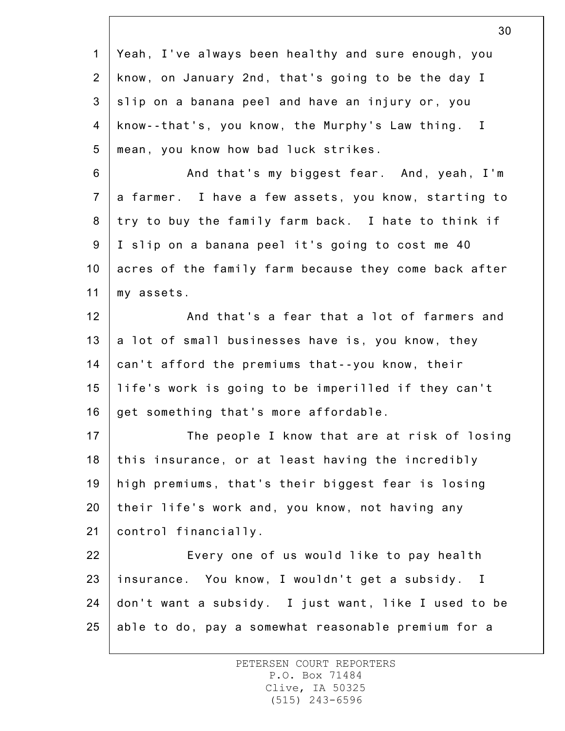|                 | ບບ                                                    |
|-----------------|-------------------------------------------------------|
| $\mathbf{1}$    | Yeah, I've always been healthy and sure enough, you   |
| $\overline{2}$  | know, on January 2nd, that's going to be the day I    |
| 3               | slip on a banana peel and have an injury or, you      |
| 4               | know--that's, you know, the Murphy's Law thing. I     |
| $5\overline{)}$ | mean, you know how bad luck strikes.                  |
| 6               | And that's my biggest fear. And, yeah, I'm            |
| $\overline{7}$  | a farmer. I have a few assets, you know, starting to  |
| 8               | try to buy the family farm back. I hate to think if   |
| 9               | I slip on a banana peel it's going to cost me 40      |
| 10              | acres of the family farm because they come back after |
| 11              | my assets.                                            |
| 12              | And that's a fear that a lot of farmers and           |
| 13              | a lot of small businesses have is, you know, they     |
| 14              | can't afford the premiums that--you know, their       |
| 15              | life's work is going to be imperilled if they can't   |
| 16              | get something that's more affordable.                 |
| 17              | The people I know that are at risk of losing          |
| 18              | this insurance, or at least having the incredibly     |
| 19              | high premiums, that's their biggest fear is losing    |
| 20              | their life's work and, you know, not having any       |
| 21              | control financially.                                  |
| 22              | Every one of us would like to pay health              |
| 23              | insurance. You know, I wouldn't get a subsidy. I      |
| 24              | don't want a subsidy. I just want, like I used to be  |
| 25              | able to do, pay a somewhat reasonable premium for a   |
|                 |                                                       |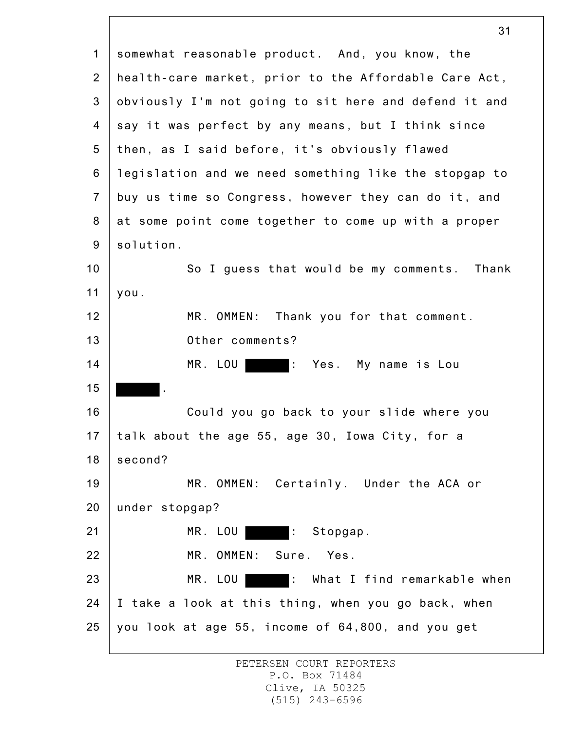1 2 3 4 5 6 7 8 9 10 11 12 13 14 15 16 17 18 19 20 21 22 23 24 25 somewhat reasonable product. And, you know, the health-care market, prior to the Affordable Care Act, obviously I'm not going to sit here and defend it and say it was perfect by any means, but I think since then, as I said before, it's obviously flawed legislation and we need something like the stopgap to buy us time so Congress, however they can do it, and at some point come together to come up with a proper solution. So I guess that would be my comments. Thank you. MR. OMMEN: Thank you for that comment. Other comments? MR. LOU : Yes. My name is Lou . Could you go back to your slide where you talk about the age 55, age 30, Iowa City, for a second? MR. OMMEN: Certainly. Under the ACA or under stopgap? MR. LOU : Stopgap. MR. OMMEN: Sure. Yes. MR. LOU : What I find remarkable when I take a look at this thing, when you go back, when you look at age 55, income of 64,800, and you get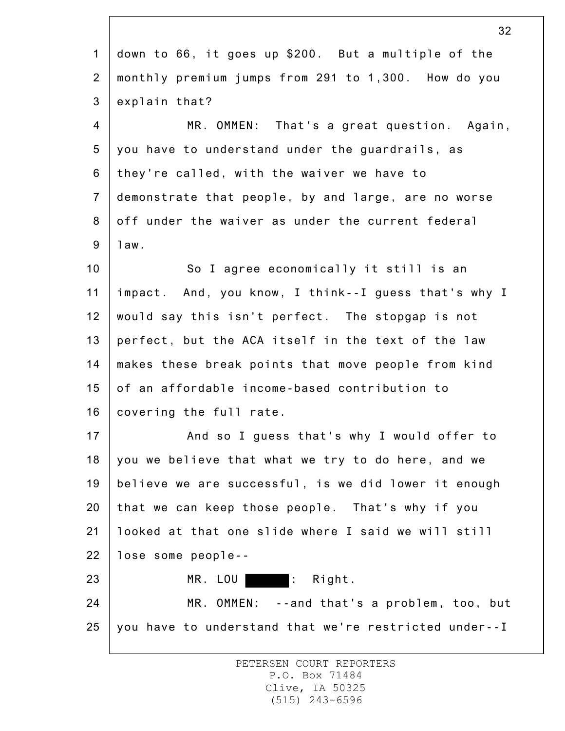|                | 32                                                    |
|----------------|-------------------------------------------------------|
| $\mathbf 1$    | down to 66, it goes up \$200. But a multiple of the   |
| $\overline{2}$ | monthly premium jumps from 291 to 1,300. How do you   |
| 3              | explain that?                                         |
| $\overline{4}$ | MR. OMMEN: That's a great question. Again,            |
| 5              | you have to understand under the guardrails, as       |
| 6              | they're called, with the waiver we have to            |
| $\overline{7}$ | demonstrate that people, by and large, are no worse   |
| 8              | off under the waiver as under the current federal     |
| $9\,$          | 1aw.                                                  |
| 10             | So I agree economically it still is an                |
| 11             | impact. And, you know, I think--I guess that's why I  |
| 12             | would say this isn't perfect. The stopgap is not      |
| 13             | perfect, but the ACA itself in the text of the law    |
| 14             | makes these break points that move people from kind   |
| 15             | of an affordable income-based contribution to         |
| 16             | covering the full rate.                               |
| 17             | And so I guess that's why I would offer to            |
| 18             | you we believe that what we try to do here, and we    |
| 19             | believe we are successful, is we did lower it enough  |
| 20             | that we can keep those people. That's why if you      |
| 21             | looked at that one slide where I said we will still   |
| 22             | lose some people--                                    |
| 23             | MR. LOU   : Right.                                    |
| 24             | MR. OMMEN: --and that's a problem, too, but           |
| 25             | you have to understand that we're restricted under--I |
|                |                                                       |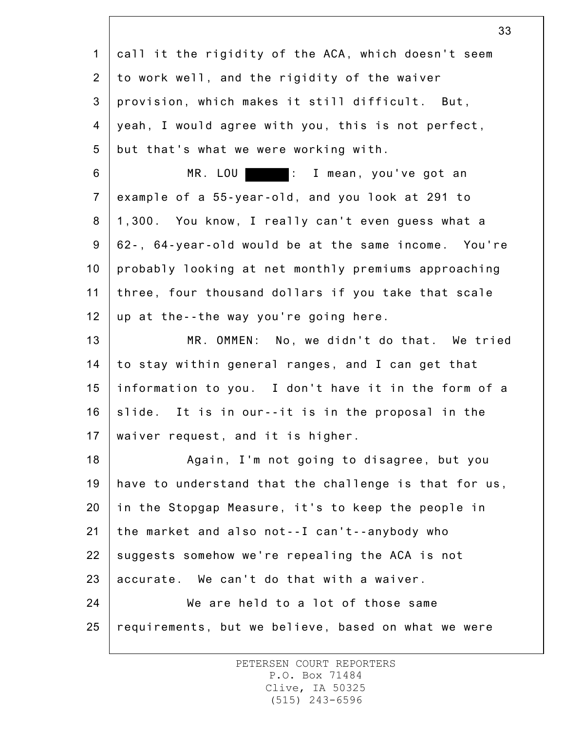| $\mathbf 1$     | call it the rigidity of the ACA, which doesn't seem   |
|-----------------|-------------------------------------------------------|
| $\overline{2}$  | to work well, and the rigidity of the waiver          |
| 3               | provision, which makes it still difficult. But,       |
| 4               | yeah, I would agree with you, this is not perfect,    |
| 5               | but that's what we were working with.                 |
| 6               | MR. LOU   : I mean, you've got an                     |
| $\overline{7}$  | example of a 55-year-old, and you look at 291 to      |
| 8               | 1,300. You know, I really can't even guess what a     |
| 9               | 62-, 64-year-old would be at the same income. You're  |
| 10 <sub>1</sub> | probably looking at net monthly premiums approaching  |
| 11              | three, four thousand dollars if you take that scale   |
| 12              | up at the--the way you're going here.                 |
| 13              | MR. OMMEN: No, we didn't do that. We tried            |
| 14              | to stay within general ranges, and I can get that     |
| 15              | information to you. I don't have it in the form of a  |
| 16              | slide. It is in our--it is in the proposal in the     |
| 17              | waiver request, and it is higher.                     |
| 18              | Again, I'm not going to disagree, but you             |
| 19              | have to understand that the challenge is that for us, |
| 20              | in the Stopgap Measure, it's to keep the people in    |
| 21              | the market and also not--I can't--anybody who         |
| 22              | suggests somehow we're repealing the ACA is not       |
| 23              | accurate. We can't do that with a waiver.             |
| 24              | We are held to a lot of those same                    |
| 25              | requirements, but we believe, based on what we were   |
|                 |                                                       |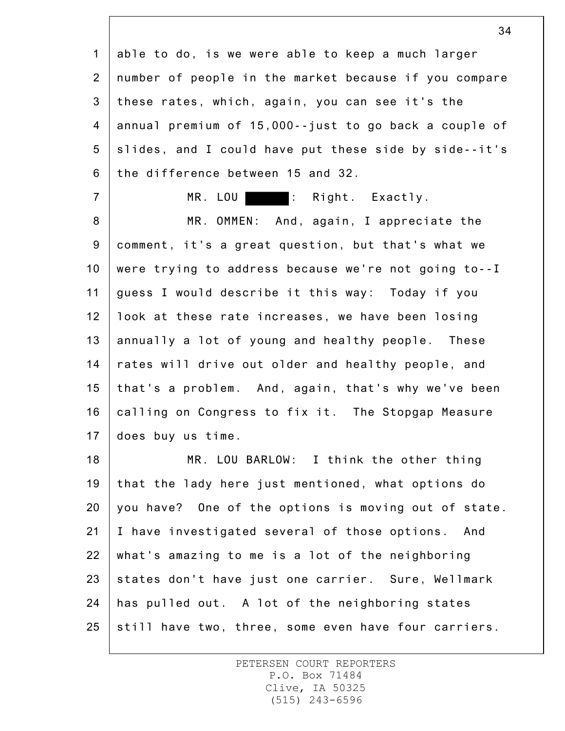1 2 3 4 5 6 able to do, is we were able to keep a much larger number of people in the market because if you compare these rates, which, again, you can see it's the annual premium of 15,000--just to go back a couple of slides, and I could have put these side by side--it's the difference between 15 and 32.

MR. LOU : Right. Exactly.

7

8 9 10 11 12 13 14 15 16 17 MR. OMMEN: And, again, I appreciate the comment, it's a great question, but that's what we were trying to address because we're not going to--I guess I would describe it this way: Today if you look at these rate increases, we have been losing annually a lot of young and healthy people. These rates will drive out older and healthy people, and that's a problem. And, again, that's why we've been calling on Congress to fix it. The Stopgap Measure does buy us time.

18 19 20 21 22 23 24 25 MR. LOU BARLOW: I think the other thing that the lady here just mentioned, what options do you have? One of the options is moving out of state. I have investigated several of those options. And what's amazing to me is a lot of the neighboring states don't have just one carrier. Sure, Wellmark has pulled out. A lot of the neighboring states still have two, three, some even have four carriers.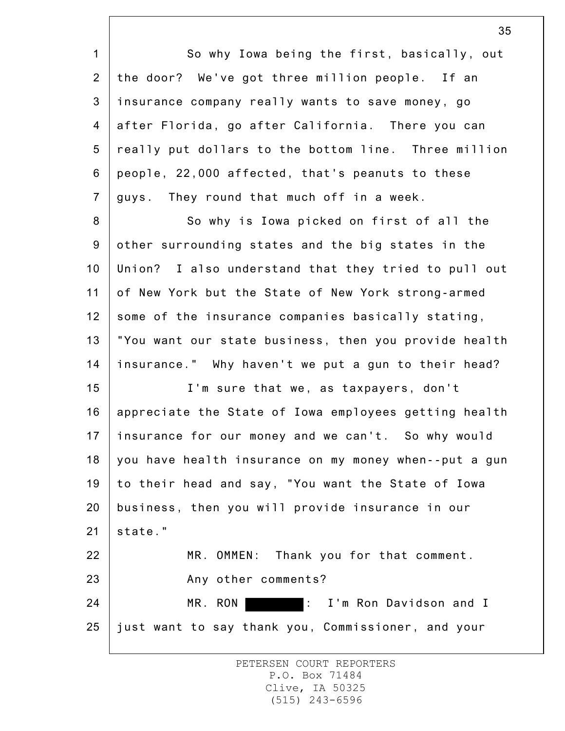1 2 3 4 5 6 7 8 9 10 11 12 13 14 15 16 17 18 19 20 21 22 23 24 25 So why Iowa being the first, basically, out the door? We've got three million people. If an insurance company really wants to save money, go after Florida, go after California. There you can really put dollars to the bottom line. Three million people, 22,000 affected, that's peanuts to these guys. They round that much off in a week. So why is Iowa picked on first of all the other surrounding states and the big states in the Union? I also understand that they tried to pull out of New York but the State of New York strong-armed some of the insurance companies basically stating, "You want our state business, then you provide health insurance." Why haven't we put a gun to their head? I'm sure that we, as taxpayers, don't appreciate the State of Iowa employees getting health insurance for our money and we can't. So why would you have health insurance on my money when--put a gun to their head and say, "You want the State of Iowa business, then you will provide insurance in our state." MR. OMMEN: Thank you for that comment. Any other comments? MR. RON : I'm Ron Davidson and I just want to say thank you, Commissioner, and your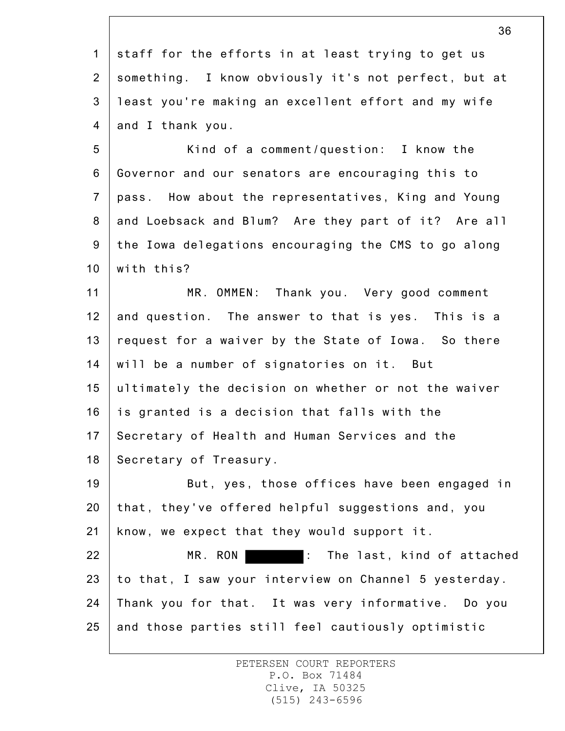1 2 3 4 staff for the efforts in at least trying to get us something. I know obviously it's not perfect, but at least you're making an excellent effort and my wife and I thank you.

5 6 7 8 9 10 Kind of a comment/question: I know the Governor and our senators are encouraging this to pass. How about the representatives, King and Young and Loebsack and Blum? Are they part of it? Are all the Iowa delegations encouraging the CMS to go along with this?

11 12 13 14 15 16 17 18 MR. OMMEN: Thank you. Very good comment and question. The answer to that is yes. This is a request for a waiver by the State of Iowa. So there will be a number of signatories on it. But ultimately the decision on whether or not the waiver is granted is a decision that falls with the Secretary of Health and Human Services and the Secretary of Treasury.

19 20 21 22 23 24 But, yes, those offices have been engaged in that, they've offered helpful suggestions and, you know, we expect that they would support it. MR. RON : The last, kind of attached to that, I saw your interview on Channel 5 yesterday. Thank you for that. It was very informative. Do you

25 and those parties still feel cautiously optimistic

> PETERSEN COURT REPORTERS P.O. Box 71484 Clive, IA 50325 (515) 243-6596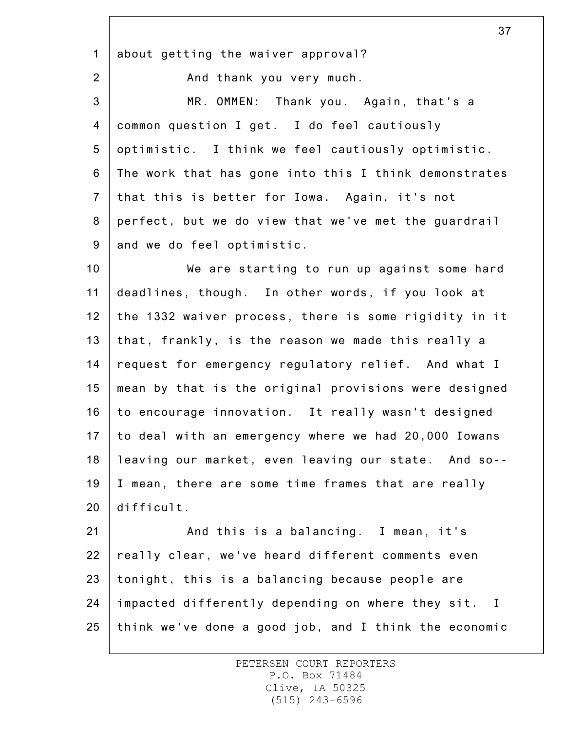1 about getting the waiver approval?

2

And thank you very much.

3 4 5 6 7 8 9 MR. OMMEN: Thank you. Again, that's a common question I get. I do feel cautiously optimistic. I think we feel cautiously optimistic. The work that has gone into this I think demonstrates that this is better for Iowa. Again, it's not perfect, but we do view that we've met the guardrail and we do feel optimistic.

10 11 12 13 14 15 16 17 18 19 20 We are starting to run up against some hard deadlines, though. In other words, if you look at the 1332 waiver process, there is some rigidity in it that, frankly, is the reason we made this really a request for emergency regulatory relief. And what I mean by that is the original provisions were designed to encourage innovation. It really wasn't designed to deal with an emergency where we had 20,000 Iowans leaving our market, even leaving our state. And so-- I mean, there are some time frames that are really difficult.

21 22 23 24 25 And this is a balancing. I mean, it's really clear, we've heard different comments even tonight, this is a balancing because people are impacted differently depending on where they sit. I think we've done a good job, and I think the economic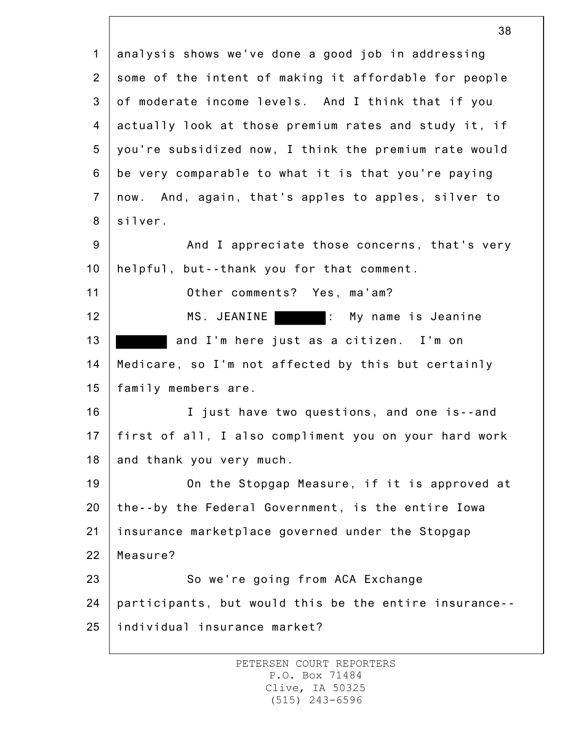1 2 3 4 5 6 7 8 9 10 11 12 13 14 15 16 17 18 19 20 21 22 23 24 25 analysis shows we've done a good job in addressing some of the intent of making it affordable for people of moderate income levels. And I think that if you actually look at those premium rates and study it, if you're subsidized now, I think the premium rate would be very comparable to what it is that you're paying now. And, again, that's apples to apples, silver to silver. And I appreciate those concerns, that's very helpful, but--thank you for that comment. Other comments? Yes, ma'am? MS. JEANINE : My name is Jeanine and I'm here just as a citizen. I'm on Medicare, so I'm not affected by this but certainly family members are. I just have two questions, and one is--and first of all, I also compliment you on your hard work and thank you very much. On the Stopgap Measure, if it is approved at the--by the Federal Government, is the entire Iowa insurance marketplace governed under the Stopgap Measure? So we're going from ACA Exchange participants, but would this be the entire insurance- individual insurance market?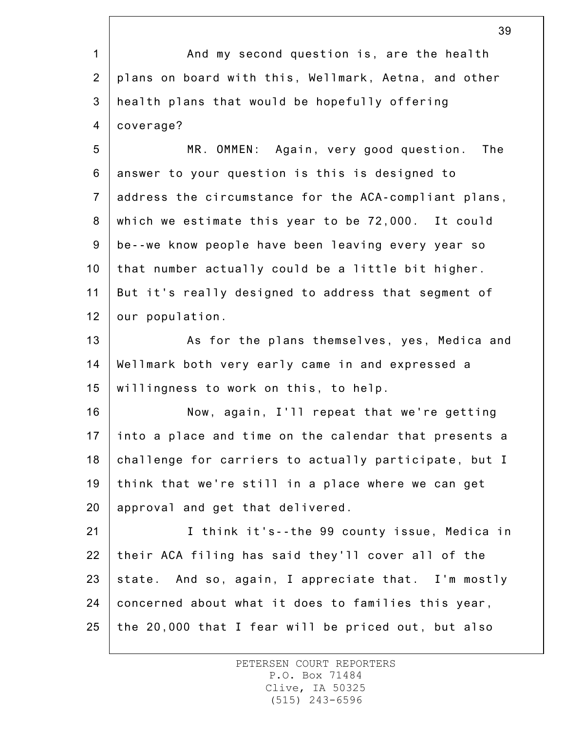1 2 3 4 And my second question is, are the health plans on board with this, Wellmark, Aetna, and other health plans that would be hopefully offering coverage?

5 6 7 8 9 10 11 12 MR. OMMEN: Again, very good question. The answer to your question is this is designed to address the circumstance for the ACA-compliant plans, which we estimate this year to be 72,000. It could be--we know people have been leaving every year so that number actually could be a little bit higher. But it's really designed to address that segment of our population.

13 14 15 As for the plans themselves, yes, Medica and Wellmark both very early came in and expressed a willingness to work on this, to help.

16 17 18 19 20 Now, again, I'll repeat that we're getting into a place and time on the calendar that presents a challenge for carriers to actually participate, but I think that we're still in a place where we can get approval and get that delivered.

21 22 23 24 25 I think it's--the 99 county issue, Medica in their ACA filing has said they'll cover all of the state. And so, again, I appreciate that. I'm mostly concerned about what it does to families this year, the 20,000 that I fear will be priced out, but also

> PETERSEN COURT REPORTERS P.O. Box 71484 Clive, IA 50325 (515) 243-6596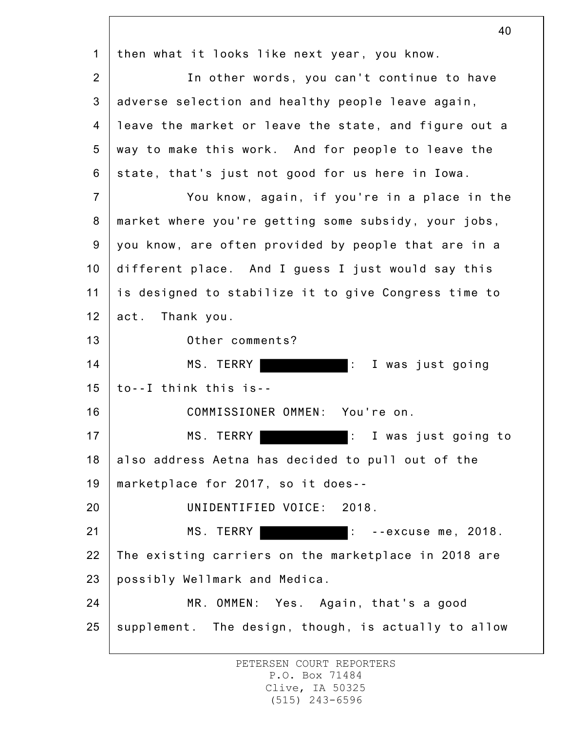1 2 3 4 5 6 7 8 9 10 11 12 13 14 15 16 17 18 19 20 21 22 23 24 25 40 then what it looks like next year, you know. In other words, you can't continue to have adverse selection and healthy people leave again, leave the market or leave the state, and figure out a way to make this work. And for people to leave the state, that's just not good for us here in Iowa. You know, again, if you're in a place in the market where you're getting some subsidy, your jobs, you know, are often provided by people that are in a different place. And I guess I just would say this is designed to stabilize it to give Congress time to act. Thank you. Other comments? MS. TERRY **:** I was just going to--I think this is-- COMMISSIONER OMMEN: You're on. MS. TERRY **:** I was just going to also address Aetna has decided to pull out of the marketplace for 2017, so it does-- UNIDENTIFIED VOICE: 2018. MS. TERRY **:** --excuse me, 2018. The existing carriers on the marketplace in 2018 are possibly Wellmark and Medica. MR. OMMEN: Yes. Again, that's a good supplement. The design, though, is actually to allow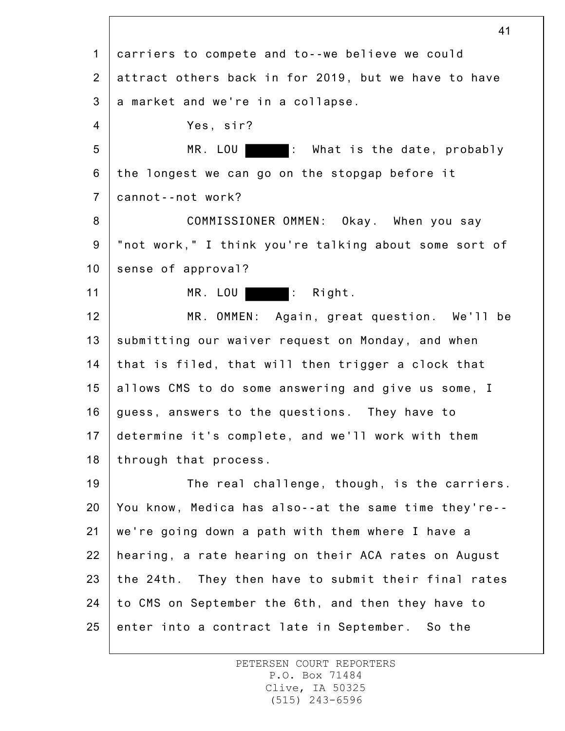1 2 3 4 5 6 7 8 9 10 11 12 13 14 15 16 17 18 19 20 21 22 23 24 25 carriers to compete and to--we believe we could attract others back in for 2019, but we have to have a market and we're in a collapse. Yes, sir? MR. LOU : What is the date, probably the longest we can go on the stopgap before it cannot--not work? COMMISSIONER OMMEN: Okay. When you say "not work," I think you're talking about some sort of sense of approval? MR. LOU : Right. MR. OMMEN: Again, great question. We'll be submitting our waiver request on Monday, and when that is filed, that will then trigger a clock that allows CMS to do some answering and give us some, I guess, answers to the questions. They have to determine it's complete, and we'll work with them through that process. The real challenge, though, is the carriers. You know, Medica has also--at the same time they're- we're going down a path with them where I have a hearing, a rate hearing on their ACA rates on August the 24th. They then have to submit their final rates to CMS on September the 6th, and then they have to enter into a contract late in September. So the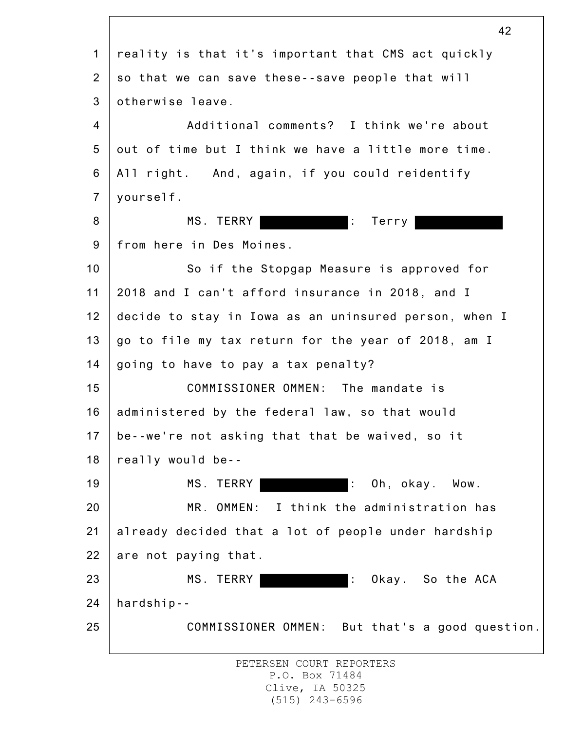1 2 3 4 5 6 7 8 9 10 11 12 13 14 15 16 17 18 19 20 21 22 23 24 25 42 reality is that it's important that CMS act quickly so that we can save these--save people that will otherwise leave. Additional comments? I think we're about out of time but I think we have a little more time. All right. And, again, if you could reidentify yourself. MS. TERRY **: Terry** from here in Des Moines. So if the Stopgap Measure is approved for 2018 and I can't afford insurance in 2018, and I decide to stay in Iowa as an uninsured person, when I go to file my tax return for the year of 2018, am I going to have to pay a tax penalty? COMMISSIONER OMMEN: The mandate is administered by the federal law, so that would be--we're not asking that that be waived, so it really would be-- MS. TERRY **: Oh, okay.** Wow. MR. OMMEN: I think the administration has already decided that a lot of people under hardship are not paying that. MS. TERRY | **Example 20** : Okay. So the ACA hardship-- COMMISSIONER OMMEN: But that's a good question.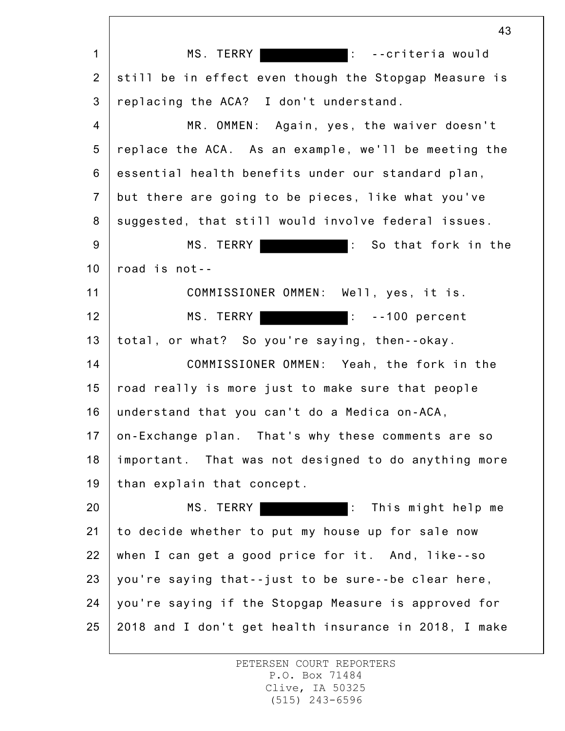1 2 3 4 5 6 7 8 9 10 11 12 13 14 15 16 17 18 19 20 21 22 23 24 25 43 MS. TERRY **:** ...criteria would still be in effect even though the Stopgap Measure is replacing the ACA? I don't understand. MR. OMMEN: Again, yes, the waiver doesn't replace the ACA. As an example, we'll be meeting the essential health benefits under our standard plan, but there are going to be pieces, like what you've suggested, that still would involve federal issues. MS. TERRY : So that fork in the road is not-- COMMISSIONER OMMEN: Well, yes, it is. MS. TERRY **Example 20 Fig. 100**: --100 percent total, or what? So you're saying, then--okay. COMMISSIONER OMMEN: Yeah, the fork in the road really is more just to make sure that people understand that you can't do a Medica on-ACA, on-Exchange plan. That's why these comments are so important. That was not designed to do anything more than explain that concept. MS. TERRY : This might help me to decide whether to put my house up for sale now when I can get a good price for it. And, like--so you're saying that--just to be sure--be clear here, you're saying if the Stopgap Measure is approved for 2018 and I don't get health insurance in 2018, I make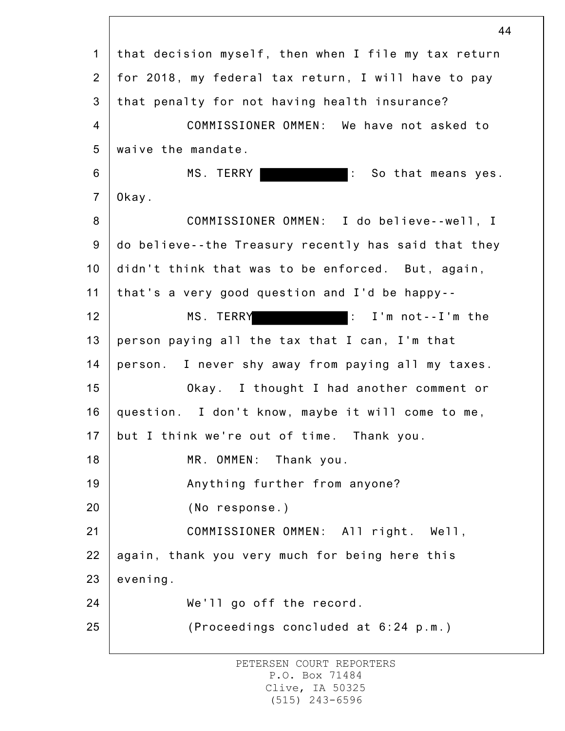1 2 3 4 5 6 7 8 9 10 11 12 13 14 15 16 17 18 19 20 21 22 23 24 25 44 that decision myself, then when I file my tax return for 2018, my federal tax return, I will have to pay that penalty for not having health insurance? COMMISSIONER OMMEN: We have not asked to waive the mandate. MS. TERRY **:** So that means yes. Okay. COMMISSIONER OMMEN: I do believe--well, I do believe--the Treasury recently has said that they didn't think that was to be enforced. But, again, that's a very good question and I'd be happy-- MS. TERRY : I'm not--I'm the person paying all the tax that I can, I'm that person. I never shy away from paying all my taxes. Okay. I thought I had another comment or question. I don't know, maybe it will come to me, but I think we're out of time. Thank you. MR. OMMEN: Thank you. Anything further from anyone? (No response.) COMMISSIONER OMMEN: All right. Well, again, thank you very much for being here this evening. We'll go off the record. (Proceedings concluded at 6:24 p.m.)